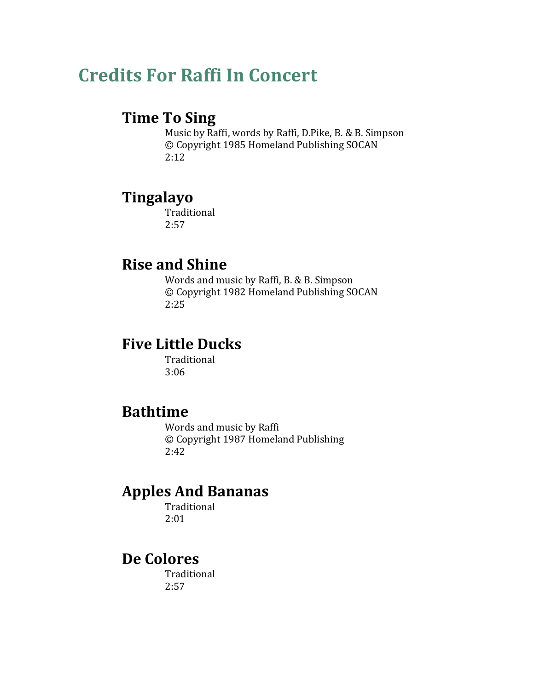# **Credits For Raffi In Concert**

#### **Time To Sing**

Music by Raffi, words by Raffi, D.Pike, B. & B. Simpson © Copyright 1985 Homeland Publishing SOCAN 2:12

## **Tingalayo**

Traditional 2:57

# **Rise and Shine**

Words and music by Raffi, B. & B. Simpson © Copyright 1982 Homeland Publishing SOCAN 2:25

## **Five Little Ducks**

Traditional 3:06

## **Bathtime**

Words and music by Raffi © Copyright 1987 Homeland Publishing 2:42

# **Apples And Bananas**

Traditional 2:01

# **De Colores**

Traditional 2:57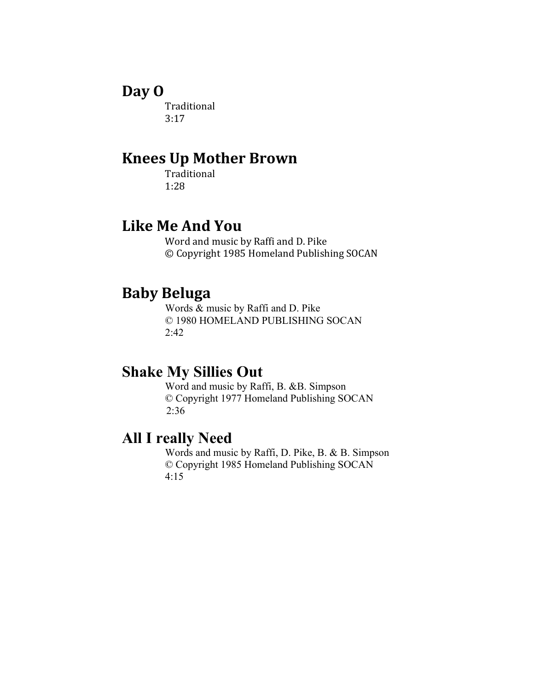#### **Day O**

Traditional 3:17

## **Knees Up Mother Brown**

Traditional 1:28

#### **Like Me And You**

Word and music by Raffi and D. Pike © Copyright 1985 Homeland Publishing SOCAN

#### **Baby Beluga**

Words & music by Raffi and D. Pike © 1980 HOMELAND PUBLISHING SOCAN 2:42

# **Shake My Sillies Out**

Word and music by Raffi, B. &B. Simpson © Copyright 1977 Homeland Publishing SOCAN 2:36

#### **All I really Need**

Words and music by Raffi, D. Pike, B. & B. Simpson © Copyright 1985 Homeland Publishing SOCAN 4:15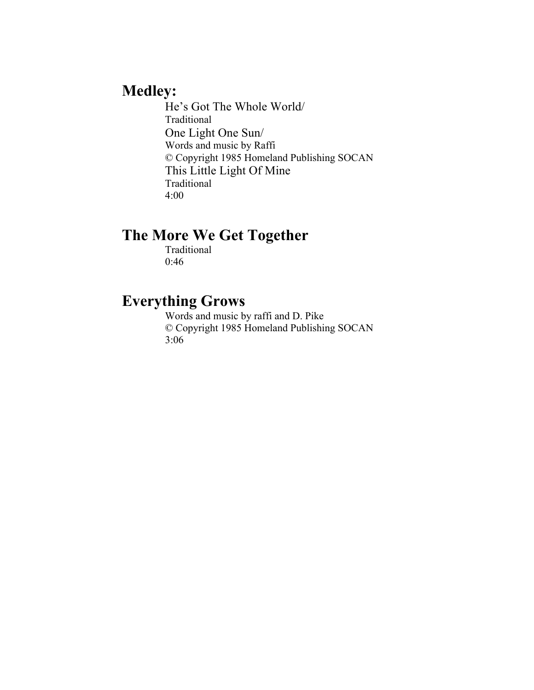## **Medley:**

He's Got The Whole World/ Traditional One Light One Sun/ Words and music by Raffi © Copyright 1985 Homeland Publishing SOCAN This Little Light Of Mine Traditional 4:00

#### **The More We Get Together**

Traditional 0:46

## **Everything Grows**

Words and music by raffi and D. Pike © Copyright 1985 Homeland Publishing SOCAN 3:06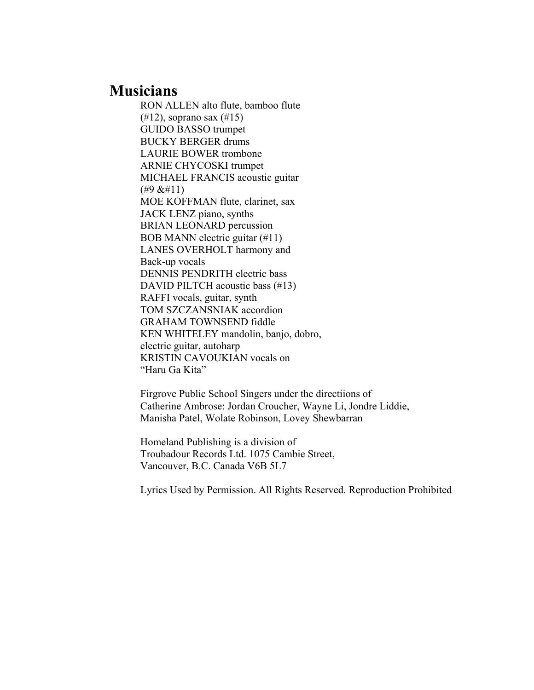#### **Musicians**

RON ALLEN alto flute, bamboo flute (#12), soprano sax (#15) GUIDO BASSO trumpet BUCKY BERGER drums LAURIE BOWER trombone ARNIE CHYCOSKI trumpet MICHAEL FRANCIS acoustic guitar  $($ #9 &#11) MOE KOFFMAN flute, clarinet, sax JACK LENZ piano, synths BRIAN LEONARD percussion BOB MANN electric guitar (#11) LANES OVERHOLT harmony and Back-up vocals DENNIS PENDRITH electric bass DAVID PILTCH acoustic bass (#13) RAFFI vocals, guitar, synth TOM SZCZANSNIAK accordion GRAHAM TOWNSEND fiddle KEN WHITELEY mandolin, banjo, dobro, electric guitar, autoharp KRISTIN CAVOUKIAN vocals on "Haru Ga Kita"

Firgrove Public School Singers under the directiions of Catherine Ambrose: Jordan Croucher, Wayne Li, Jondre Liddie, Manisha Patel, Wolate Robinson, Lovey Shewbarran

Homeland Publishing is a division of Troubadour Records Ltd. 1075 Cambie Street, Vancouver, B.C. Canada V6B 5L7

Lyrics Used by Permission. All Rights Reserved. Reproduction Prohibited